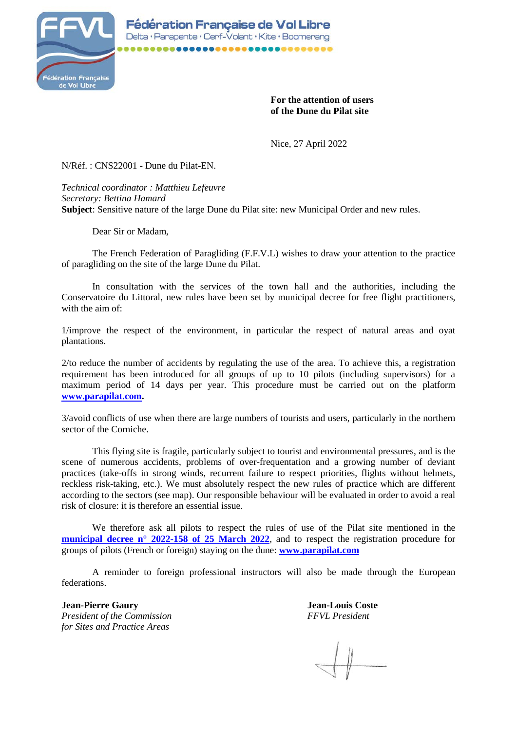

**For the attention of users of the Dune du Pilat site**

Nice, 27 April 2022

N/Réf. : CNS22001 - Dune du Pilat-EN.

*Technical coordinator : Matthieu Lefeuvre Secretary: Bettina Hamard* **Subject**: Sensitive nature of the large Dune du Pilat site: new Municipal Order and new rules.

Dear Sir or Madam,

The French Federation of Paragliding (F.F.V.L) wishes to draw your attention to the practice of paragliding on the site of the large Dune du Pilat.

In consultation with the services of the town hall and the authorities, including the Conservatoire du Littoral, new rules have been set by municipal decree for free flight practitioners, with the aim of:

1/improve the respect of the environment, in particular the respect of natural areas and oyat plantations.

2/to reduce the number of accidents by regulating the use of the area. To achieve this, a registration requirement has been introduced for all groups of up to 10 pilots (including supervisors) for a maximum period of 14 days per year. This procedure must be carried out on the platform **[www.parapilat.com.](https://parapilat.com/)**

3/avoid conflicts of use when there are large numbers of tourists and users, particularly in the northern sector of the Corniche.

This flying site is fragile, particularly subject to tourist and environmental pressures, and is the scene of numerous accidents, problems of over-frequentation and a growing number of deviant practices (take-offs in strong winds, recurrent failure to respect priorities, flights without helmets, reckless risk-taking, etc.). We must absolutely respect the new rules of practice which are different according to the sectors (see map). Our responsible behaviour will be evaluated in order to avoid a real risk of closure: it is therefore an essential issue.

We therefore ask all pilots to respect the rules of use of the Pilat site mentioned in the **[municipal decree n° 2022-158 of 25 March 2022](https://parapilat.com/wp-content/uploads/2022/04/ARR_Pilat2022.pdf)**, and to respect the registration procedure for groups of pilots (French or foreign) staying on the dune: **[www.parapilat.com](https://parapilat.com/)**

A reminder to foreign professional instructors will also be made through the European federations.

**Jean-Pierre Gaury Jean-Louis Coste** *President of the Commission FFVL President for Sites and Practice Areas*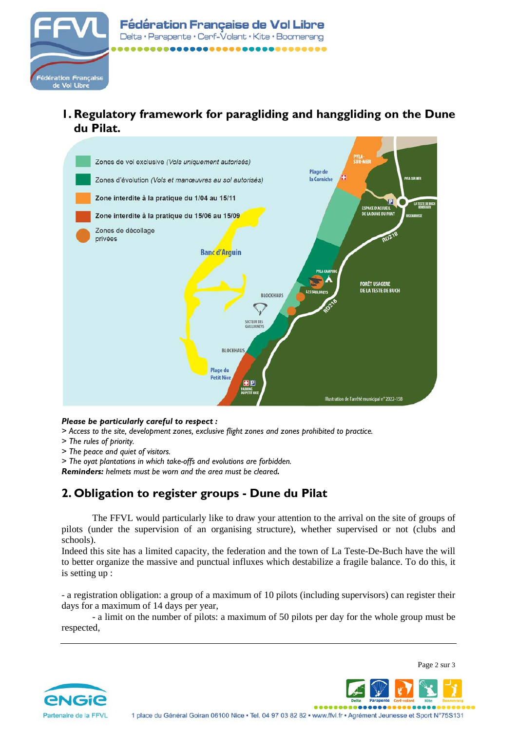

**1. Regulatory framework for paragliding and hanggliding on the Dune du Pilat.**



## *Please be particularly careful to respect :*

- *> Access to the site, development zones, exclusive flight zones and zones prohibited to practice.*
- *> The rules of priority.*
- *> The peace and quiet of visitors.*
- *> The oyat plantations in which take-offs and evolutions are forbidden.*

*Reminders: helmets must be worn and the area must be cleared.*

## **2. Obligation to register groups - Dune du Pilat**

The FFVL would particularly like to draw your attention to the arrival on the site of groups of pilots (under the supervision of an organising structure), whether supervised or not (clubs and schools).

Indeed this site has a limited capacity, the federation and the town of La Teste-De-Buch have the will to better organize the massive and punctual influxes which destabilize a fragile balance. To do this, it is setting up :

- a registration obligation: a group of a maximum of 10 pilots (including supervisors) can register their days for a maximum of 14 days per year,

- a limit on the number of pilots: a maximum of 50 pilots per day for the whole group must be respected,





....